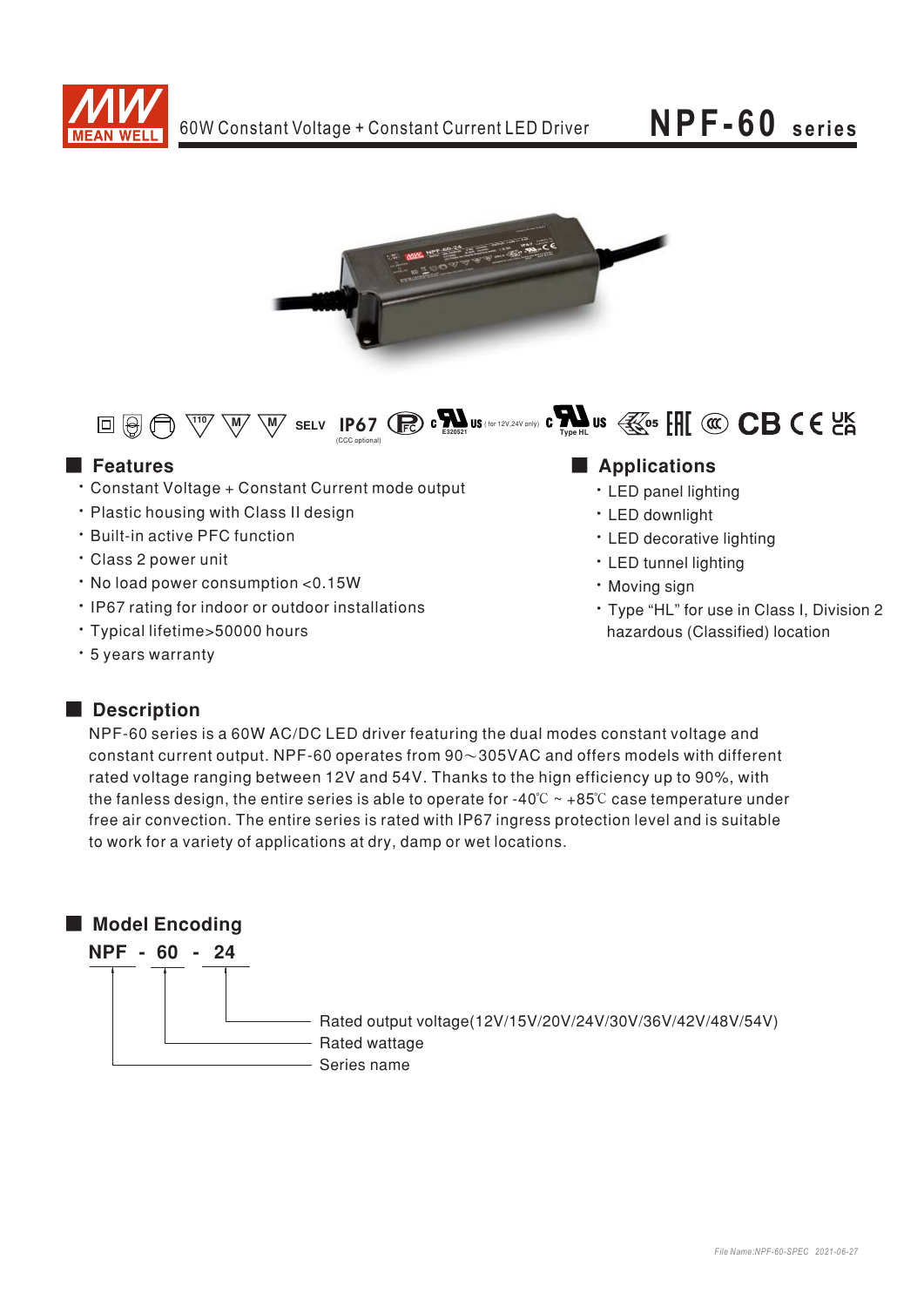





### **E** Features

- \* Constant Voltage + Constant Current mode output
- . Plastic housing with Class II design
- · Built-in active PFC function
- · Class 2 power unit
- · No load power consumption <0.15W
- . IP67 rating for indoor or outdoor installations
- · Typical lifetime>50000 hours
- \* 5 years warranty

### Applications

- LED panel lighting
- · LED downlight
- LED decorative lighting
- LED tunnel lighting
- · Moving sign
- \* Type "HL" for use in Class I, Division 2 hazardous (Classified) location

### Description

NPF-60 series is a 60W AC/DC LED driver featuring the dual modes constant voltage and constant current output. NPF-60 operates from  $90\sim305$ VAC and offers models with different rated voltage ranging between 12V and 54V. Thanks to the hign efficiency up to 90%, with the fanless design, the entire series is able to operate for -40 $\degree$ C  $\sim$  +85 $\degree$ C case temperature under free air convection. The entire series is rated with IP67 ingress protection level and is suitable to work for a variety of applications at dry, damp or wet locations.

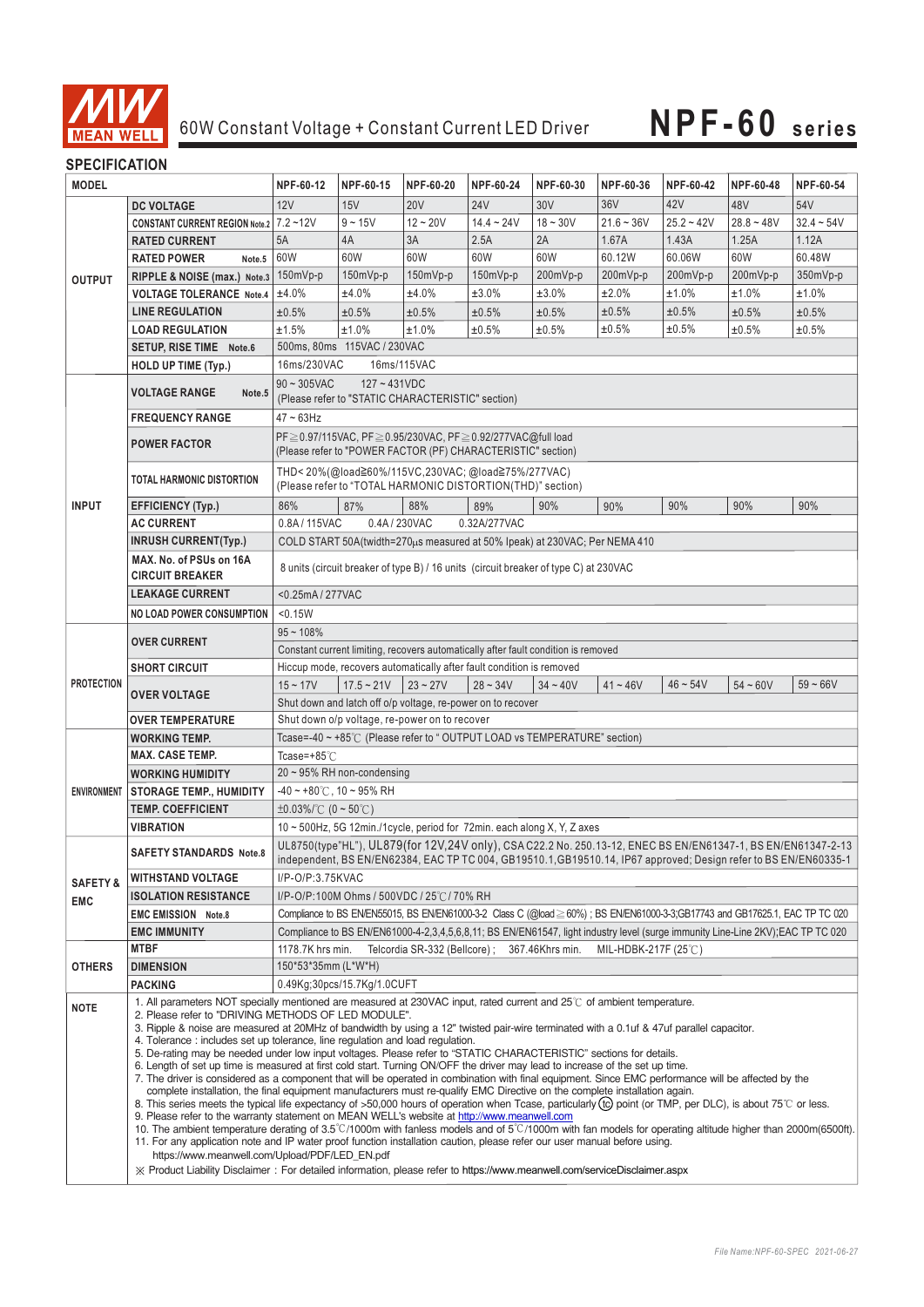

#### **SPECIFICATION**

| <b>MODEL</b>        |                                                                                                                                                                                                                                                                                                                                                                                                                                                                                                                                                                                                                                                                                                                                                                                                                                                                                                                                                                                                                                                                                                                                                                                                                                                                                                                                                                                                                                                                                                                                                                                                                                                                                                                    | NPF-60-12                                                                                                                      | NPF-60-15                                                                                                    | NPF-60-20                     | NPF-60-24                                                                                                                                                                                                                        | NPF-60-30       | NPF-60-36           | NPF-60-42    | NPF-60-48    | NPF-60-54    |  |  |
|---------------------|--------------------------------------------------------------------------------------------------------------------------------------------------------------------------------------------------------------------------------------------------------------------------------------------------------------------------------------------------------------------------------------------------------------------------------------------------------------------------------------------------------------------------------------------------------------------------------------------------------------------------------------------------------------------------------------------------------------------------------------------------------------------------------------------------------------------------------------------------------------------------------------------------------------------------------------------------------------------------------------------------------------------------------------------------------------------------------------------------------------------------------------------------------------------------------------------------------------------------------------------------------------------------------------------------------------------------------------------------------------------------------------------------------------------------------------------------------------------------------------------------------------------------------------------------------------------------------------------------------------------------------------------------------------------------------------------------------------------|--------------------------------------------------------------------------------------------------------------------------------|--------------------------------------------------------------------------------------------------------------|-------------------------------|----------------------------------------------------------------------------------------------------------------------------------------------------------------------------------------------------------------------------------|-----------------|---------------------|--------------|--------------|--------------|--|--|
|                     | <b>DC VOLTAGE</b>                                                                                                                                                                                                                                                                                                                                                                                                                                                                                                                                                                                                                                                                                                                                                                                                                                                                                                                                                                                                                                                                                                                                                                                                                                                                                                                                                                                                                                                                                                                                                                                                                                                                                                  | 12V                                                                                                                            | 15V                                                                                                          | <b>20V</b>                    | 24 <sub>V</sub>                                                                                                                                                                                                                  | 30V             | 36V                 | 42V          | 48V          | 54V          |  |  |
| <b>OUTPUT</b>       | CONSTANT CURRENT REGION Note.2 7.2~12V                                                                                                                                                                                                                                                                                                                                                                                                                                                                                                                                                                                                                                                                                                                                                                                                                                                                                                                                                                                                                                                                                                                                                                                                                                                                                                                                                                                                                                                                                                                                                                                                                                                                             |                                                                                                                                | $9 - 15V$                                                                                                    | $12 - 20V$                    | $14.4 - 24V$                                                                                                                                                                                                                     | $18 - 30V$      | $21.6 - 36V$        | $25.2 - 42V$ | $28.8 - 48V$ | $32.4 - 54V$ |  |  |
|                     | <b>RATED CURRENT</b>                                                                                                                                                                                                                                                                                                                                                                                                                                                                                                                                                                                                                                                                                                                                                                                                                                                                                                                                                                                                                                                                                                                                                                                                                                                                                                                                                                                                                                                                                                                                                                                                                                                                                               | 5A                                                                                                                             | 4A                                                                                                           | 3A                            | 2.5A                                                                                                                                                                                                                             | 2A              | 1.67A               | 1.43A        | 1.25A        | 1.12A        |  |  |
|                     | <b>RATED POWER</b><br>Note.5                                                                                                                                                                                                                                                                                                                                                                                                                                                                                                                                                                                                                                                                                                                                                                                                                                                                                                                                                                                                                                                                                                                                                                                                                                                                                                                                                                                                                                                                                                                                                                                                                                                                                       | 60W                                                                                                                            | 60W                                                                                                          | 60W                           | 60W                                                                                                                                                                                                                              | 60W             | 60.12W              | 60.06W       | 60W          | 60.48W       |  |  |
|                     | RIPPLE & NOISE (max.) Note.3                                                                                                                                                                                                                                                                                                                                                                                                                                                                                                                                                                                                                                                                                                                                                                                                                                                                                                                                                                                                                                                                                                                                                                                                                                                                                                                                                                                                                                                                                                                                                                                                                                                                                       | $150mVp-p$                                                                                                                     | $150mVp-p$                                                                                                   | 150mVp-p                      | 150mVp-p                                                                                                                                                                                                                         | 200mVp-p        | 200mVp-p            | 200mVp-p     | 200mVp-p     | 350mVp-p     |  |  |
|                     | <b>VOLTAGE TOLERANCE Note.4</b>                                                                                                                                                                                                                                                                                                                                                                                                                                                                                                                                                                                                                                                                                                                                                                                                                                                                                                                                                                                                                                                                                                                                                                                                                                                                                                                                                                                                                                                                                                                                                                                                                                                                                    | ±4.0%                                                                                                                          | ±4.0%                                                                                                        | ±4.0%                         | ±3.0%                                                                                                                                                                                                                            | ±3.0%           | ±2.0%               | ±1.0%        | ±1.0%        | ±1.0%        |  |  |
|                     | <b>LINE REGULATION</b>                                                                                                                                                                                                                                                                                                                                                                                                                                                                                                                                                                                                                                                                                                                                                                                                                                                                                                                                                                                                                                                                                                                                                                                                                                                                                                                                                                                                                                                                                                                                                                                                                                                                                             | ±0.5%                                                                                                                          | ±0.5%                                                                                                        | ±0.5%                         | ±0.5%                                                                                                                                                                                                                            | ±0.5%           | ±0.5%               | ±0.5%        | ±0.5%        | ±0.5%        |  |  |
|                     | <b>LOAD REGULATION</b>                                                                                                                                                                                                                                                                                                                                                                                                                                                                                                                                                                                                                                                                                                                                                                                                                                                                                                                                                                                                                                                                                                                                                                                                                                                                                                                                                                                                                                                                                                                                                                                                                                                                                             | ±1.5%                                                                                                                          | ±1.0%                                                                                                        | ±1.0%                         | $\pm 0.5\%$                                                                                                                                                                                                                      | ±0.5%           | ±0.5%               | ±0.5%        | ±0.5%        | ±0.5%        |  |  |
|                     | SETUP, RISE TIME Note.6                                                                                                                                                                                                                                                                                                                                                                                                                                                                                                                                                                                                                                                                                                                                                                                                                                                                                                                                                                                                                                                                                                                                                                                                                                                                                                                                                                                                                                                                                                                                                                                                                                                                                            | 500ms, 80ms 115VAC / 230VAC                                                                                                    |                                                                                                              |                               |                                                                                                                                                                                                                                  |                 |                     |              |              |              |  |  |
|                     | <b>HOLD UP TIME (Typ.)</b>                                                                                                                                                                                                                                                                                                                                                                                                                                                                                                                                                                                                                                                                                                                                                                                                                                                                                                                                                                                                                                                                                                                                                                                                                                                                                                                                                                                                                                                                                                                                                                                                                                                                                         | 16ms/230VAC                                                                                                                    |                                                                                                              |                               |                                                                                                                                                                                                                                  |                 |                     |              |              |              |  |  |
| <b>INPUT</b>        |                                                                                                                                                                                                                                                                                                                                                                                                                                                                                                                                                                                                                                                                                                                                                                                                                                                                                                                                                                                                                                                                                                                                                                                                                                                                                                                                                                                                                                                                                                                                                                                                                                                                                                                    | 16ms/115VAC<br>$127 - 431VDC$<br>$90 \sim 305$ VAC                                                                             |                                                                                                              |                               |                                                                                                                                                                                                                                  |                 |                     |              |              |              |  |  |
|                     | <b>VOLTAGE RANGE</b><br>Note.5                                                                                                                                                                                                                                                                                                                                                                                                                                                                                                                                                                                                                                                                                                                                                                                                                                                                                                                                                                                                                                                                                                                                                                                                                                                                                                                                                                                                                                                                                                                                                                                                                                                                                     | (Please refer to "STATIC CHARACTERISTIC" section)                                                                              |                                                                                                              |                               |                                                                                                                                                                                                                                  |                 |                     |              |              |              |  |  |
|                     | <b>FREQUENCY RANGE</b>                                                                                                                                                                                                                                                                                                                                                                                                                                                                                                                                                                                                                                                                                                                                                                                                                                                                                                                                                                                                                                                                                                                                                                                                                                                                                                                                                                                                                                                                                                                                                                                                                                                                                             | $47 \sim 63$ Hz                                                                                                                |                                                                                                              |                               |                                                                                                                                                                                                                                  |                 |                     |              |              |              |  |  |
|                     |                                                                                                                                                                                                                                                                                                                                                                                                                                                                                                                                                                                                                                                                                                                                                                                                                                                                                                                                                                                                                                                                                                                                                                                                                                                                                                                                                                                                                                                                                                                                                                                                                                                                                                                    |                                                                                                                                |                                                                                                              |                               |                                                                                                                                                                                                                                  |                 |                     |              |              |              |  |  |
|                     | <b>POWER FACTOR</b>                                                                                                                                                                                                                                                                                                                                                                                                                                                                                                                                                                                                                                                                                                                                                                                                                                                                                                                                                                                                                                                                                                                                                                                                                                                                                                                                                                                                                                                                                                                                                                                                                                                                                                | PF ≥ 0.97/115VAC, PF ≥ 0.95/230VAC, PF ≥ 0.92/277VAC@full load<br>(Please refer to "POWER FACTOR (PF) CHARACTERISTIC" section) |                                                                                                              |                               |                                                                                                                                                                                                                                  |                 |                     |              |              |              |  |  |
|                     | TOTAL HARMONIC DISTORTION                                                                                                                                                                                                                                                                                                                                                                                                                                                                                                                                                                                                                                                                                                                                                                                                                                                                                                                                                                                                                                                                                                                                                                                                                                                                                                                                                                                                                                                                                                                                                                                                                                                                                          |                                                                                                                                |                                                                                                              |                               | THD<20%(@load≧60%/115VC,230VAC;@load≧75%/277VAC)                                                                                                                                                                                 |                 |                     |              |              |              |  |  |
|                     |                                                                                                                                                                                                                                                                                                                                                                                                                                                                                                                                                                                                                                                                                                                                                                                                                                                                                                                                                                                                                                                                                                                                                                                                                                                                                                                                                                                                                                                                                                                                                                                                                                                                                                                    |                                                                                                                                |                                                                                                              |                               | (Please refer to "TOTAL HARMONIC DISTORTION(THD)" section)                                                                                                                                                                       |                 |                     |              |              |              |  |  |
|                     | EFFICIENCY (Typ.)                                                                                                                                                                                                                                                                                                                                                                                                                                                                                                                                                                                                                                                                                                                                                                                                                                                                                                                                                                                                                                                                                                                                                                                                                                                                                                                                                                                                                                                                                                                                                                                                                                                                                                  | 86%                                                                                                                            | 87%                                                                                                          | 88%                           | 89%                                                                                                                                                                                                                              | 90%             | 90%                 | 90%          | 90%          | 90%          |  |  |
|                     | <b>AC CURRENT</b>                                                                                                                                                                                                                                                                                                                                                                                                                                                                                                                                                                                                                                                                                                                                                                                                                                                                                                                                                                                                                                                                                                                                                                                                                                                                                                                                                                                                                                                                                                                                                                                                                                                                                                  | 0.8A/115VAC                                                                                                                    | 0.4A / 230VAC                                                                                                |                               | 0.32A/277VAC                                                                                                                                                                                                                     |                 |                     |              |              |              |  |  |
|                     | <b>INRUSH CURRENT(Typ.)</b>                                                                                                                                                                                                                                                                                                                                                                                                                                                                                                                                                                                                                                                                                                                                                                                                                                                                                                                                                                                                                                                                                                                                                                                                                                                                                                                                                                                                                                                                                                                                                                                                                                                                                        |                                                                                                                                |                                                                                                              |                               | COLD START 50A(twidth=270µs measured at 50% Ipeak) at 230VAC; Per NEMA 410                                                                                                                                                       |                 |                     |              |              |              |  |  |
|                     | MAX. No. of PSUs on 16A                                                                                                                                                                                                                                                                                                                                                                                                                                                                                                                                                                                                                                                                                                                                                                                                                                                                                                                                                                                                                                                                                                                                                                                                                                                                                                                                                                                                                                                                                                                                                                                                                                                                                            |                                                                                                                                |                                                                                                              |                               |                                                                                                                                                                                                                                  |                 |                     |              |              |              |  |  |
|                     | <b>CIRCUIT BREAKER</b>                                                                                                                                                                                                                                                                                                                                                                                                                                                                                                                                                                                                                                                                                                                                                                                                                                                                                                                                                                                                                                                                                                                                                                                                                                                                                                                                                                                                                                                                                                                                                                                                                                                                                             |                                                                                                                                |                                                                                                              |                               | 8 units (circuit breaker of type B) / 16 units (circuit breaker of type C) at 230VAC                                                                                                                                             |                 |                     |              |              |              |  |  |
|                     | <b>LEAKAGE CURRENT</b>                                                                                                                                                                                                                                                                                                                                                                                                                                                                                                                                                                                                                                                                                                                                                                                                                                                                                                                                                                                                                                                                                                                                                                                                                                                                                                                                                                                                                                                                                                                                                                                                                                                                                             | <0.25mA / 277VAC                                                                                                               |                                                                                                              |                               |                                                                                                                                                                                                                                  |                 |                     |              |              |              |  |  |
|                     | <b>NO LOAD POWER CONSUMPTION</b>                                                                                                                                                                                                                                                                                                                                                                                                                                                                                                                                                                                                                                                                                                                                                                                                                                                                                                                                                                                                                                                                                                                                                                                                                                                                                                                                                                                                                                                                                                                                                                                                                                                                                   | < 0.15W                                                                                                                        |                                                                                                              |                               |                                                                                                                                                                                                                                  |                 |                     |              |              |              |  |  |
| <b>PROTECTION</b>   |                                                                                                                                                                                                                                                                                                                                                                                                                                                                                                                                                                                                                                                                                                                                                                                                                                                                                                                                                                                                                                                                                                                                                                                                                                                                                                                                                                                                                                                                                                                                                                                                                                                                                                                    | $95 - 108%$                                                                                                                    |                                                                                                              |                               |                                                                                                                                                                                                                                  |                 |                     |              |              |              |  |  |
|                     | <b>OVER CURRENT</b>                                                                                                                                                                                                                                                                                                                                                                                                                                                                                                                                                                                                                                                                                                                                                                                                                                                                                                                                                                                                                                                                                                                                                                                                                                                                                                                                                                                                                                                                                                                                                                                                                                                                                                | Constant current limiting, recovers automatically after fault condition is removed                                             |                                                                                                              |                               |                                                                                                                                                                                                                                  |                 |                     |              |              |              |  |  |
|                     | <b>SHORT CIRCUIT</b>                                                                                                                                                                                                                                                                                                                                                                                                                                                                                                                                                                                                                                                                                                                                                                                                                                                                                                                                                                                                                                                                                                                                                                                                                                                                                                                                                                                                                                                                                                                                                                                                                                                                                               |                                                                                                                                | Hiccup mode, recovers automatically after fault condition is removed                                         |                               |                                                                                                                                                                                                                                  |                 |                     |              |              |              |  |  |
|                     | <b>OVER VOLTAGE</b>                                                                                                                                                                                                                                                                                                                                                                                                                                                                                                                                                                                                                                                                                                                                                                                                                                                                                                                                                                                                                                                                                                                                                                                                                                                                                                                                                                                                                                                                                                                                                                                                                                                                                                | $15 - 17V$                                                                                                                     | $17.5 - 21V$                                                                                                 | $23 - 27V$                    | $28 - 34V$                                                                                                                                                                                                                       | $34 - 40V$      | $41 - 46V$          | $46 - 54V$   | $54 - 60V$   | $59 - 66V$   |  |  |
|                     |                                                                                                                                                                                                                                                                                                                                                                                                                                                                                                                                                                                                                                                                                                                                                                                                                                                                                                                                                                                                                                                                                                                                                                                                                                                                                                                                                                                                                                                                                                                                                                                                                                                                                                                    |                                                                                                                                |                                                                                                              |                               |                                                                                                                                                                                                                                  |                 |                     |              |              |              |  |  |
|                     | <b>OVER TEMPERATURE</b>                                                                                                                                                                                                                                                                                                                                                                                                                                                                                                                                                                                                                                                                                                                                                                                                                                                                                                                                                                                                                                                                                                                                                                                                                                                                                                                                                                                                                                                                                                                                                                                                                                                                                            |                                                                                                                                | Shut down and latch off o/p voltage, re-power on to recover<br>Shut down o/p voltage, re-power on to recover |                               |                                                                                                                                                                                                                                  |                 |                     |              |              |              |  |  |
| ENVIRONMENT         | <b>WORKING TEMP.</b>                                                                                                                                                                                                                                                                                                                                                                                                                                                                                                                                                                                                                                                                                                                                                                                                                                                                                                                                                                                                                                                                                                                                                                                                                                                                                                                                                                                                                                                                                                                                                                                                                                                                                               |                                                                                                                                | Tcase=-40 ~ +85°C (Please refer to "OUTPUT LOAD vs TEMPERATURE" section)                                     |                               |                                                                                                                                                                                                                                  |                 |                     |              |              |              |  |  |
|                     | <b>MAX. CASE TEMP.</b>                                                                                                                                                                                                                                                                                                                                                                                                                                                                                                                                                                                                                                                                                                                                                                                                                                                                                                                                                                                                                                                                                                                                                                                                                                                                                                                                                                                                                                                                                                                                                                                                                                                                                             | Tcase=+85 $°C$                                                                                                                 |                                                                                                              |                               |                                                                                                                                                                                                                                  |                 |                     |              |              |              |  |  |
|                     |                                                                                                                                                                                                                                                                                                                                                                                                                                                                                                                                                                                                                                                                                                                                                                                                                                                                                                                                                                                                                                                                                                                                                                                                                                                                                                                                                                                                                                                                                                                                                                                                                                                                                                                    | $20 \sim 95\%$ RH non-condensing                                                                                               |                                                                                                              |                               |                                                                                                                                                                                                                                  |                 |                     |              |              |              |  |  |
|                     |                                                                                                                                                                                                                                                                                                                                                                                                                                                                                                                                                                                                                                                                                                                                                                                                                                                                                                                                                                                                                                                                                                                                                                                                                                                                                                                                                                                                                                                                                                                                                                                                                                                                                                                    | $-40 \sim +80^{\circ}$ C, 10 ~ 95% RH                                                                                          |                                                                                                              |                               |                                                                                                                                                                                                                                  |                 |                     |              |              |              |  |  |
|                     | <b>WORKING HUMIDITY</b>                                                                                                                                                                                                                                                                                                                                                                                                                                                                                                                                                                                                                                                                                                                                                                                                                                                                                                                                                                                                                                                                                                                                                                                                                                                                                                                                                                                                                                                                                                                                                                                                                                                                                            |                                                                                                                                |                                                                                                              |                               |                                                                                                                                                                                                                                  |                 |                     |              |              |              |  |  |
|                     | <b>STORAGE TEMP., HUMIDITY</b>                                                                                                                                                                                                                                                                                                                                                                                                                                                                                                                                                                                                                                                                                                                                                                                                                                                                                                                                                                                                                                                                                                                                                                                                                                                                                                                                                                                                                                                                                                                                                                                                                                                                                     |                                                                                                                                |                                                                                                              |                               |                                                                                                                                                                                                                                  |                 |                     |              |              |              |  |  |
|                     | <b>TEMP. COEFFICIENT</b>                                                                                                                                                                                                                                                                                                                                                                                                                                                                                                                                                                                                                                                                                                                                                                                                                                                                                                                                                                                                                                                                                                                                                                                                                                                                                                                                                                                                                                                                                                                                                                                                                                                                                           | $\pm 0.03\%$ (0 ~ 50°C)                                                                                                        |                                                                                                              |                               |                                                                                                                                                                                                                                  |                 |                     |              |              |              |  |  |
|                     | <b>VIBRATION</b>                                                                                                                                                                                                                                                                                                                                                                                                                                                                                                                                                                                                                                                                                                                                                                                                                                                                                                                                                                                                                                                                                                                                                                                                                                                                                                                                                                                                                                                                                                                                                                                                                                                                                                   |                                                                                                                                |                                                                                                              |                               | 10 $\sim$ 500Hz, 5G 12min./1cycle, period for 72min. each along X, Y, Z axes                                                                                                                                                     |                 |                     |              |              |              |  |  |
|                     | <b>SAFETY STANDARDS Note.8</b>                                                                                                                                                                                                                                                                                                                                                                                                                                                                                                                                                                                                                                                                                                                                                                                                                                                                                                                                                                                                                                                                                                                                                                                                                                                                                                                                                                                                                                                                                                                                                                                                                                                                                     |                                                                                                                                |                                                                                                              |                               | UL8750(type"HL"), UL879(for 12V,24V only), CSA C22.2 No. 250.13-12, ENEC BS EN/EN61347-1, BS EN/EN61347-2-13<br>independent, BS EN/EN62384, EAC TP TC 004, GB19510.1, GB19510.14, IP67 approved; Design refer to BS EN/EN60335-1 |                 |                     |              |              |              |  |  |
|                     | <b>WITHSTAND VOLTAGE</b>                                                                                                                                                                                                                                                                                                                                                                                                                                                                                                                                                                                                                                                                                                                                                                                                                                                                                                                                                                                                                                                                                                                                                                                                                                                                                                                                                                                                                                                                                                                                                                                                                                                                                           | I/P-O/P:3.75KVAC                                                                                                               |                                                                                                              |                               |                                                                                                                                                                                                                                  |                 |                     |              |              |              |  |  |
| <b>SAFETY &amp;</b> | <b>ISOLATION RESISTANCE</b>                                                                                                                                                                                                                                                                                                                                                                                                                                                                                                                                                                                                                                                                                                                                                                                                                                                                                                                                                                                                                                                                                                                                                                                                                                                                                                                                                                                                                                                                                                                                                                                                                                                                                        |                                                                                                                                | I/P-O/P:100M Ohms / 500VDC / 25℃/ 70% RH                                                                     |                               |                                                                                                                                                                                                                                  |                 |                     |              |              |              |  |  |
| <b>EMC</b>          | <b>EMC EMISSION Note.8</b>                                                                                                                                                                                                                                                                                                                                                                                                                                                                                                                                                                                                                                                                                                                                                                                                                                                                                                                                                                                                                                                                                                                                                                                                                                                                                                                                                                                                                                                                                                                                                                                                                                                                                         |                                                                                                                                |                                                                                                              |                               | Compliance to BS EN/EN55015, BS EN/EN61000-3-2 Class C (@load $\geq$ 60%); BS EN/EN61000-3-3;GB17743 and GB17625.1, EAC TP TC 020                                                                                                |                 |                     |              |              |              |  |  |
|                     | <b>EMC IMMUNITY</b>                                                                                                                                                                                                                                                                                                                                                                                                                                                                                                                                                                                                                                                                                                                                                                                                                                                                                                                                                                                                                                                                                                                                                                                                                                                                                                                                                                                                                                                                                                                                                                                                                                                                                                |                                                                                                                                |                                                                                                              |                               | Compliance to BS EN/EN61000-4-2,3,4,5,6,8,11; BS EN/EN61547, light industry level (surge immunity Line-Line 2KV); EAC TP TC 020                                                                                                  |                 |                     |              |              |              |  |  |
|                     | <b>MTBF</b>                                                                                                                                                                                                                                                                                                                                                                                                                                                                                                                                                                                                                                                                                                                                                                                                                                                                                                                                                                                                                                                                                                                                                                                                                                                                                                                                                                                                                                                                                                                                                                                                                                                                                                        | 1178.7K hrs min.                                                                                                               |                                                                                                              | Telcordia SR-332 (Bellcore) ; |                                                                                                                                                                                                                                  | 367.46Khrs min. | MIL-HDBK-217F (25℃) |              |              |              |  |  |
| <b>OTHERS</b>       | <b>DIMENSION</b>                                                                                                                                                                                                                                                                                                                                                                                                                                                                                                                                                                                                                                                                                                                                                                                                                                                                                                                                                                                                                                                                                                                                                                                                                                                                                                                                                                                                                                                                                                                                                                                                                                                                                                   | 150*53*35mm (L*W*H)                                                                                                            |                                                                                                              |                               |                                                                                                                                                                                                                                  |                 |                     |              |              |              |  |  |
|                     | <b>PACKING</b>                                                                                                                                                                                                                                                                                                                                                                                                                                                                                                                                                                                                                                                                                                                                                                                                                                                                                                                                                                                                                                                                                                                                                                                                                                                                                                                                                                                                                                                                                                                                                                                                                                                                                                     |                                                                                                                                | 0.49Kg;30pcs/15.7Kg/1.0CUFT                                                                                  |                               |                                                                                                                                                                                                                                  |                 |                     |              |              |              |  |  |
| NOTE                | 1. All parameters NOT specially mentioned are measured at 230VAC input, rated current and 25°C of ambient temperature.<br>2. Please refer to "DRIVING METHODS OF LED MODULE".<br>3. Ripple & noise are measured at 20MHz of bandwidth by using a 12" twisted pair-wire terminated with a 0.1uf & 47uf parallel capacitor.<br>4. Tolerance: includes set up tolerance, line regulation and load regulation.<br>5. De-rating may be needed under low input voltages. Please refer to "STATIC CHARACTERISTIC" sections for details.<br>6. Length of set up time is measured at first cold start. Turning ON/OFF the driver may lead to increase of the set up time.<br>7. The driver is considered as a component that will be operated in combination with final equipment. Since EMC performance will be affected by the<br>complete installation, the final equipment manufacturers must re-qualify EMC Directive on the complete installation again.<br>8. This series meets the typical life expectancy of >50,000 hours of operation when Tcase, particularly (tc) point (or TMP, per DLC), is about 75°C or less.<br>9. Please refer to the warranty statement on MEAN WELL's website at http://www.meanwell.com<br>10. The ambient temperature derating of $3.5^{\circ}$ C/1000m with fanless models and of $5^{\circ}$ C/1000m with fan models for operating altitude higher than 2000m(6500ft).<br>11. For any application note and IP water proof function installation caution, please refer our user manual before using.<br>https://www.meanwell.com/Upload/PDF/LED_EN.pdf<br>X Product Liability Disclaimer: For detailed information, please refer to https://www.meanwell.com/serviceDisclaimer.aspx |                                                                                                                                |                                                                                                              |                               |                                                                                                                                                                                                                                  |                 |                     |              |              |              |  |  |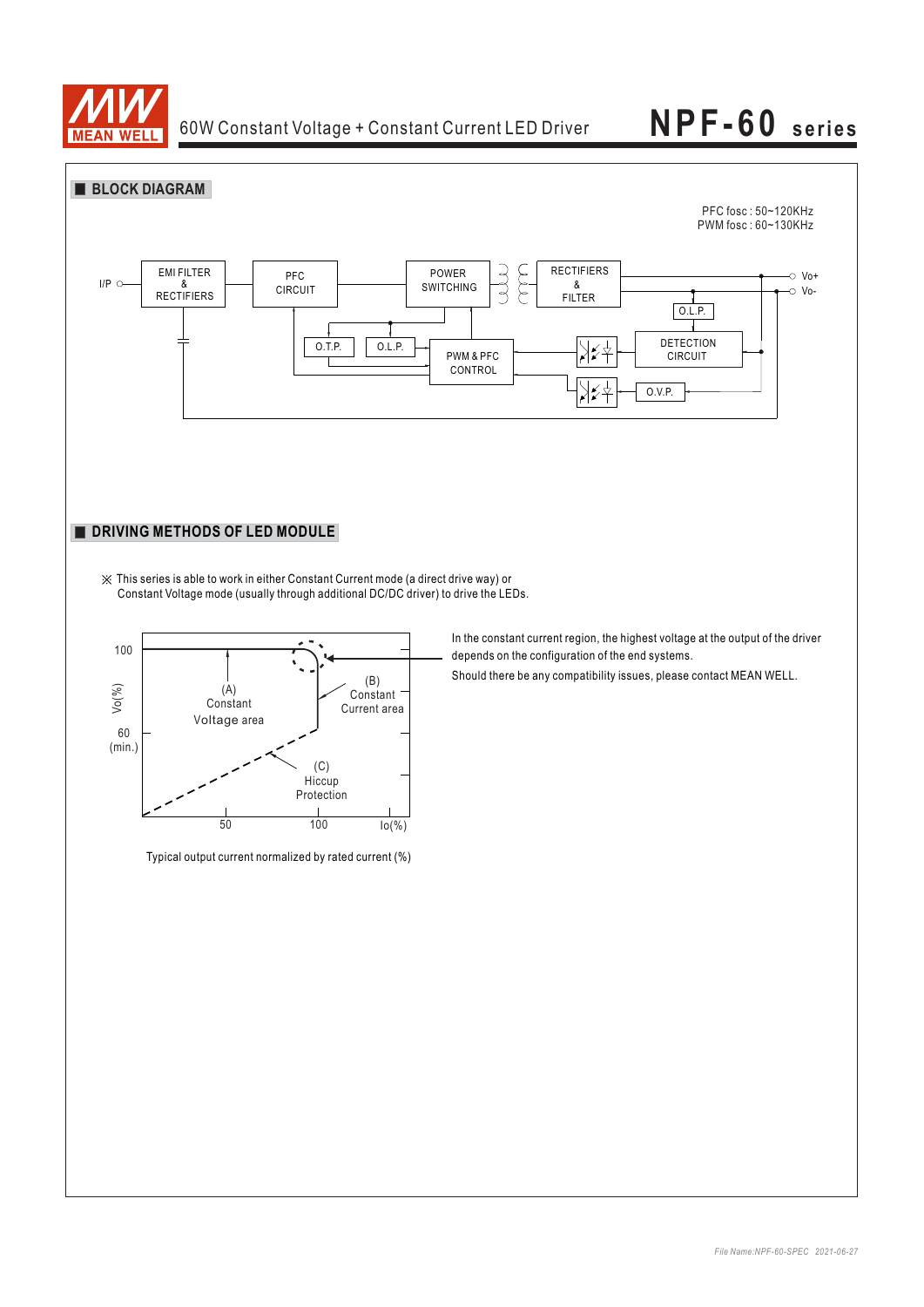

 $60$ <br>(min.

## **NPF-60 series**





Voltage area

(C) **Hiccup** 

Typical output current normalized by rated current (%)

*File Name:NPF-60-SPEC 2021-06-27*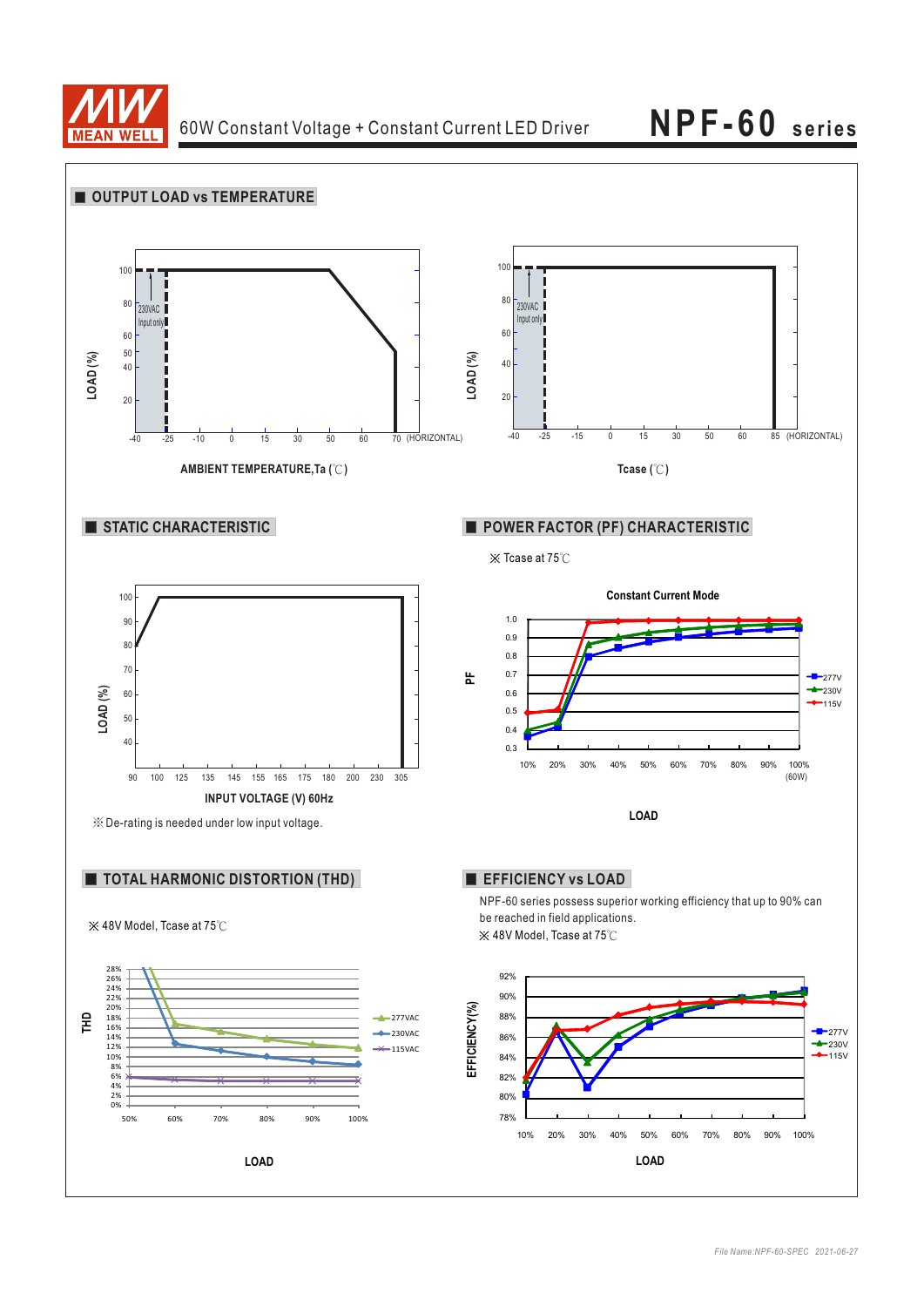

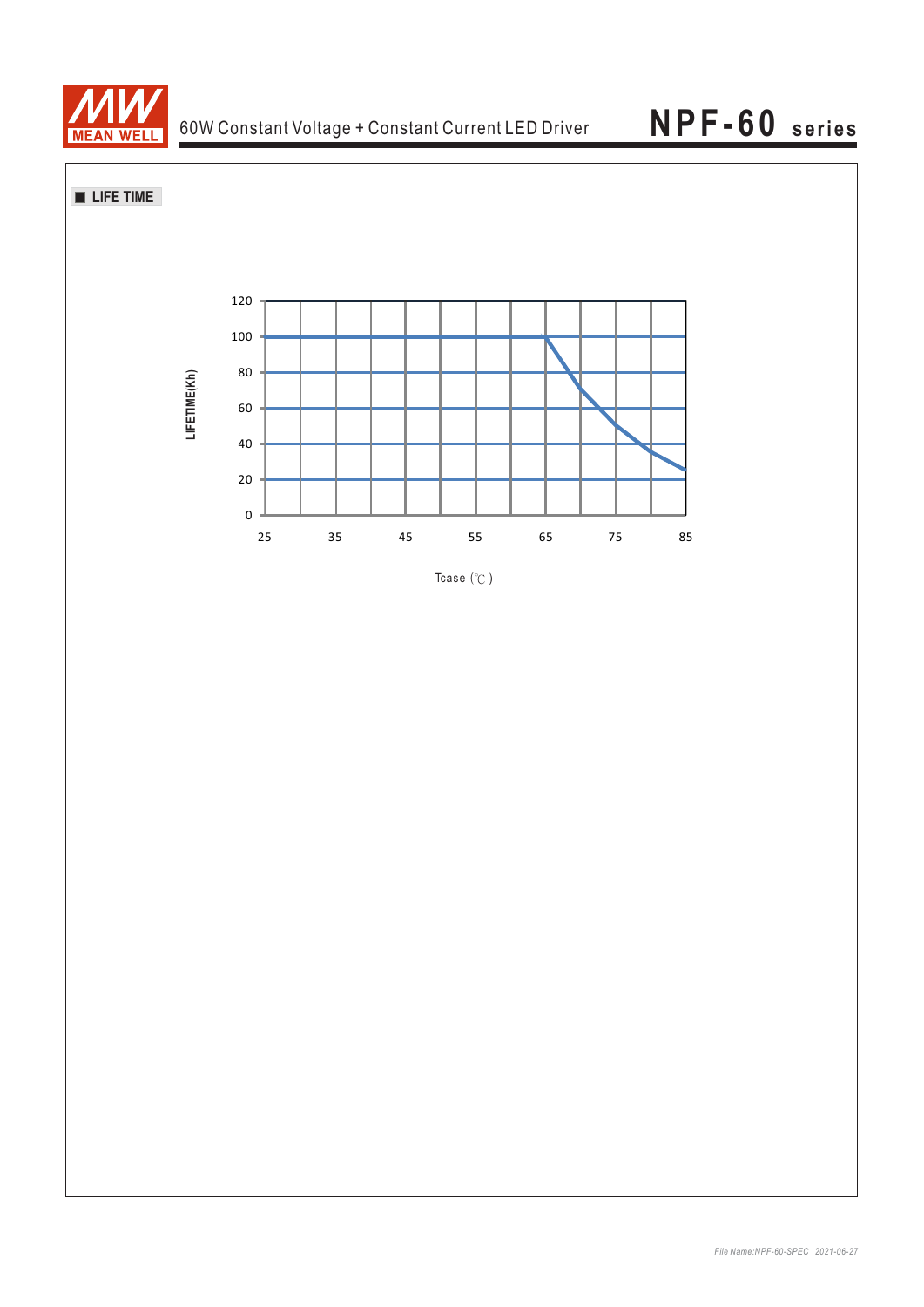